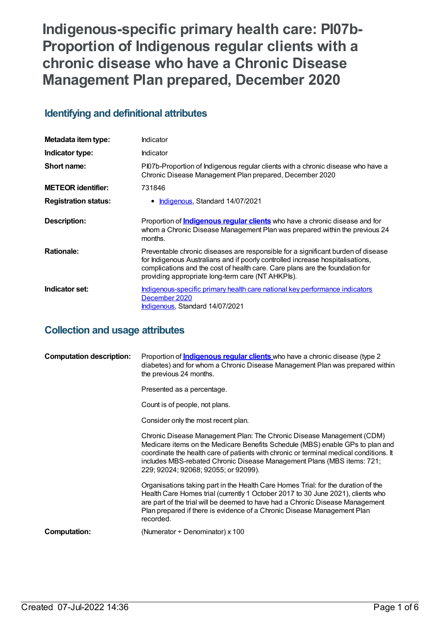**Indigenous-specific primary health care: PI07b-Proportion of Indigenous regular clients with a chronic disease who have a Chronic Disease Management Plan prepared, December 2020**

# **Identifying and definitional attributes**

| Metadata item type:         | <b>Indicator</b>                                                                                                                                                                                                                                                                                        |
|-----------------------------|---------------------------------------------------------------------------------------------------------------------------------------------------------------------------------------------------------------------------------------------------------------------------------------------------------|
| Indicator type:             | <b>Indicator</b>                                                                                                                                                                                                                                                                                        |
| Short name:                 | Pl07b-Proportion of Indigenous regular clients with a chronic disease who have a<br>Chronic Disease Management Plan prepared, December 2020                                                                                                                                                             |
| <b>METEOR identifier:</b>   | 731846                                                                                                                                                                                                                                                                                                  |
| <b>Registration status:</b> | • Indigenous, Standard 14/07/2021                                                                                                                                                                                                                                                                       |
| <b>Description:</b>         | Proportion of <i>Indigenous regular clients</i> who have a chronic disease and for<br>whom a Chronic Disease Management Plan was prepared within the previous 24<br>months.                                                                                                                             |
| <b>Rationale:</b>           | Preventable chronic diseases are responsible for a significant burden of disease<br>for Indigenous Australians and if poorly controlled increase hospitalisations,<br>complications and the cost of health care. Care plans are the foundation for<br>providing appropriate long-term care (NT AHKPIs). |
| Indicator set:              | Indigenous-specific primary health care national key performance indicators<br>December 2020<br>Indigenous, Standard 14/07/2021                                                                                                                                                                         |

# **Collection and usage attributes**

| <b>Computation description:</b> | Proportion of <b>Indigenous regular clients</b> who have a chronic disease (type 2)<br>diabetes) and for whom a Chronic Disease Management Plan was prepared within<br>the previous 24 months.                                                                                                                                                                     |
|---------------------------------|--------------------------------------------------------------------------------------------------------------------------------------------------------------------------------------------------------------------------------------------------------------------------------------------------------------------------------------------------------------------|
|                                 | Presented as a percentage.                                                                                                                                                                                                                                                                                                                                         |
|                                 | Count is of people, not plans.                                                                                                                                                                                                                                                                                                                                     |
|                                 | Consider only the most recent plan.                                                                                                                                                                                                                                                                                                                                |
|                                 | Chronic Disease Management Plan: The Chronic Disease Management (CDM)<br>Medicare items on the Medicare Benefits Schedule (MBS) enable GPs to plan and<br>coordinate the health care of patients with chronic or terminal medical conditions. It<br>includes MBS-rebated Chronic Disease Management Plans (MBS items: 721;<br>229; 92024; 92068; 92055; or 92099). |
|                                 | Organisations taking part in the Health Care Homes Trial: for the duration of the<br>Health Care Homes trial (currently 1 October 2017 to 30 June 2021), clients who<br>are part of the trial will be deemed to have had a Chronic Disease Management<br>Plan prepared if there is evidence of a Chronic Disease Management Plan<br>recorded.                      |
| <b>Computation:</b>             | (Numerator $\div$ Denominator) x 100                                                                                                                                                                                                                                                                                                                               |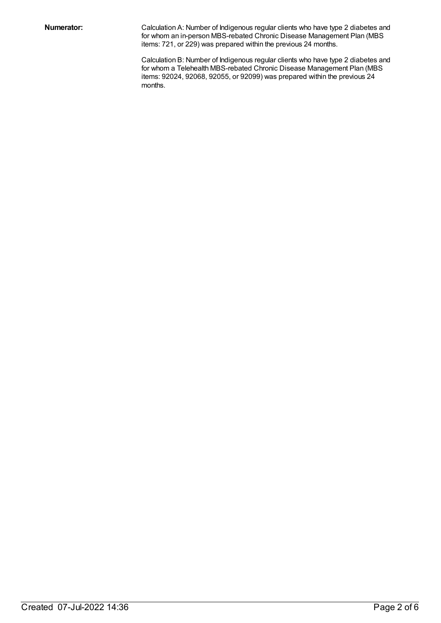**Numerator:** Calculation A: Number of Indigenous regular clients who have type 2 diabetes and for whom an in-person MBS-rebated Chronic Disease Management Plan (MBS items: 721, or 229) was prepared within the previous 24 months.

> Calculation B: Number of Indigenous regular clients who have type 2 diabetes and for whom a Telehealth MBS-rebated Chronic Disease Management Plan (MBS items: 92024, 92068, 92055, or 92099) was prepared within the previous 24 months.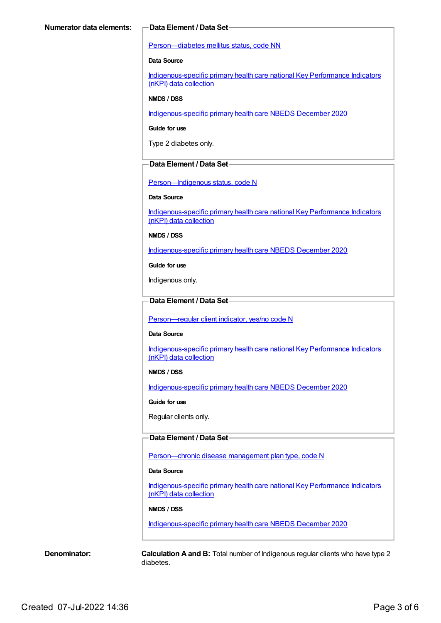#### [Person—diabetes](https://meteor.aihw.gov.au/content/270194) mellitus status, code NN

#### **Data Source**

[Indigenous-specific](https://meteor.aihw.gov.au/content/737914) primary health care national Key Performance Indicators (nKPI) data collection

#### **NMDS / DSS**

[Indigenous-specific](https://meteor.aihw.gov.au/content/738532) primary health care NBEDS December 2020

**Guide for use**

Type 2 diabetes only.

### **Data Element / Data Set**

[Person—Indigenous](https://meteor.aihw.gov.au/content/602543) status, code N

#### **Data Source**

[Indigenous-specific](https://meteor.aihw.gov.au/content/737914) primary health care national Key Performance Indicators (nKPI) data collection

**NMDS / DSS**

[Indigenous-specific](https://meteor.aihw.gov.au/content/738532) primary health care NBEDS December 2020

**Guide for use**

Indigenous only.

### **Data Element / Data Set**

[Person—regular](https://meteor.aihw.gov.au/content/686291) client indicator, yes/no code N

#### **Data Source**

[Indigenous-specific](https://meteor.aihw.gov.au/content/737914) primary health care national Key Performance Indicators (nKPI) data collection

### **NMDS / DSS**

[Indigenous-specific](https://meteor.aihw.gov.au/content/738532) primary health care NBEDS December 2020

**Guide for use**

Regular clients only.

### **Data Element / Data Set**

Person-chronic disease management plan type, code N

#### **Data Source**

[Indigenous-specific](https://meteor.aihw.gov.au/content/737914) primary health care national Key Performance Indicators (nKPI) data collection

#### **NMDS / DSS**

[Indigenous-specific](https://meteor.aihw.gov.au/content/738532) primary health care NBEDS December 2020

**Denominator: Calculation A and B:** Total number of Indigenous regular clients who have type 2 diabetes.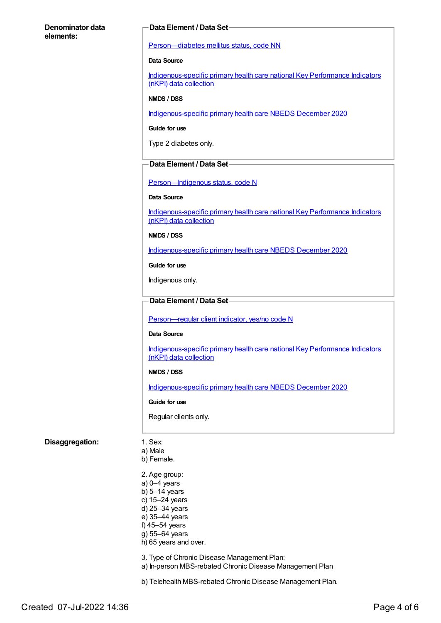#### **Denominator data elements:**

#### **Data Element / Data Set**

[Person—diabetes](https://meteor.aihw.gov.au/content/270194) mellitus status, code NN

#### **Data Source**

[Indigenous-specific](https://meteor.aihw.gov.au/content/737914) primary health care national Key Performance Indicators (nKPI) data collection

#### **NMDS / DSS**

[Indigenous-specific](https://meteor.aihw.gov.au/content/738532) primary health care NBEDS December 2020

#### **Guide for use**

Type 2 diabetes only.

#### **Data Element / Data Set**

Person-Indigenous status, code N

#### **Data Source**

[Indigenous-specific](https://meteor.aihw.gov.au/content/737914) primary health care national Key Performance Indicators (nKPI) data collection

#### **NMDS / DSS**

[Indigenous-specific](https://meteor.aihw.gov.au/content/738532) primary health care NBEDS December 2020

**Guide for use**

Indigenous only.

### **Data Element / Data Set**

[Person—regular](https://meteor.aihw.gov.au/content/686291) client indicator, yes/no code N

#### **Data Source**

[Indigenous-specific](https://meteor.aihw.gov.au/content/737914) primary health care national Key Performance Indicators (nKPI) data collection

#### **NMDS / DSS**

[Indigenous-specific](https://meteor.aihw.gov.au/content/738532) primary health care NBEDS December 2020

#### **Guide for use**

Regular clients only.

#### **Disaggregation:** 1. Sex:

- a) Male
- b) Female.
- 2. Age group:
- a) 0–4 years
- b) 5–14 years
- c) 15–24 years d) 25–34 years
- e) 35–44 years
- f) 45–54 years
- g) 55–64 years
- h) 65 years and over.
- 3. Type of Chronic Disease Management Plan:
- a) In-person MBS-rebated Chronic Disease Management Plan

b) Telehealth MBS-rebated Chronic Disease Management Plan.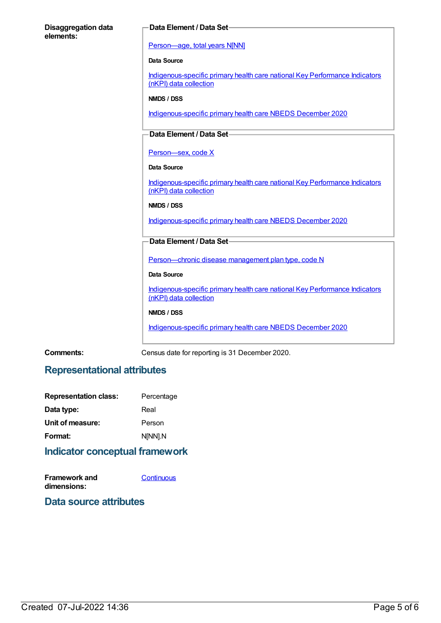| <b>Disaggregation data</b><br>elements: | Data Element / Data Set-                                                                              |
|-----------------------------------------|-------------------------------------------------------------------------------------------------------|
|                                         | Person-age, total years N[NN]                                                                         |
|                                         | <b>Data Source</b>                                                                                    |
|                                         | Indigenous-specific primary health care national Key Performance Indicators<br>(nKPI) data collection |
|                                         | NMDS / DSS                                                                                            |
|                                         | Indigenous-specific primary health care NBEDS December 2020                                           |
|                                         | Data Element / Data Set-                                                                              |
|                                         | Person-sex, code X                                                                                    |
|                                         | <b>Data Source</b>                                                                                    |
|                                         | Indigenous-specific primary health care national Key Performance Indicators<br>(nKPI) data collection |
|                                         | NMDS / DSS                                                                                            |
|                                         | Indigenous-specific primary health care NBEDS December 2020                                           |
|                                         | Data Element / Data Set-                                                                              |
|                                         | Person-chronic disease management plan type, code N                                                   |
|                                         | <b>Data Source</b>                                                                                    |
|                                         | Indigenous-specific primary health care national Key Performance Indicators<br>(nKPI) data collection |
|                                         | NMDS / DSS                                                                                            |
|                                         | Indigenous-specific primary health care NBEDS December 2020                                           |

**Comments:** Census date for reporting is 31 December 2020.

# **Representational attributes**

| <b>Representation class:</b> | Percentage |
|------------------------------|------------|
| Data type:                   | Real       |
| Unit of measure:             | Person     |
| Format:                      | N[NN].N    |
|                              |            |

# **Indicator conceptual framework**

**Framework and dimensions: [Continuous](https://meteor.aihw.gov.au/content/410684)** 

# **Data source attributes**